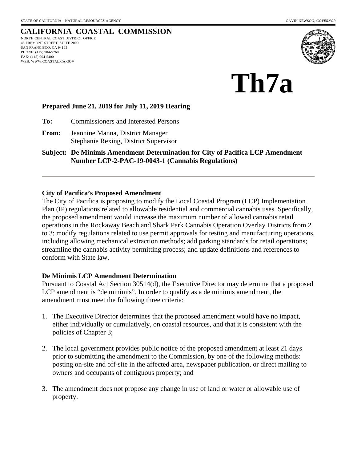# **CALIFORNIA COASTAL COMMISSION**

NORTH CENTRAL COAST DISTRICT OFFICE 45 FREMONT STREET, SUITE 2000 SAN FRANCISCO, CA 94105 PHONE: (415) 904-5260 FAX: (415) 904-5400 WEB: WWW.COASTAL.CA.GOV





#### **Prepared June 21, 2019 for July 11, 2019 Hearing**

**To:** Commissioners and Interested Persons

**From:** Jeannine Manna, District Manager Stephanie Rexing, District Supervisor

**Subject: De Minimis Amendment Determination for City of Pacifica LCP Amendment Number LCP-2-PAC-19-0043-1 (Cannabis Regulations)** 

#### **City of Pacifica's Proposed Amendment**

The City of Pacifica is proposing to modify the Local Coastal Program (LCP) Implementation Plan (IP) regulations related to allowable residential and commercial cannabis uses. Specifically, the proposed amendment would increase the maximum number of allowed cannabis retail operations in the Rockaway Beach and Shark Park Cannabis Operation Overlay Districts from 2 to 3; modify regulations related to use permit approvals for testing and manufacturing operations, including allowing mechanical extraction methods; add parking standards for retail operations; streamline the cannabis activity permitting process; and update definitions and references to conform with State law.

#### **De Minimis LCP Amendment Determination**

Pursuant to Coastal Act Section 30514(d), the Executive Director may determine that a proposed LCP amendment is "de minimis". In order to qualify as a de minimis amendment, the amendment must meet the following three criteria:

- 1. The Executive Director determines that the proposed amendment would have no impact, either individually or cumulatively, on coastal resources, and that it is consistent with the policies of Chapter 3;
- 2. The local government provides public notice of the proposed amendment at least 21 days prior to submitting the amendment to the Commission, by one of the following methods: posting on-site and off-site in the affected area, newspaper publication, or direct mailing to owners and occupants of contiguous property; and
- 3. The amendment does not propose any change in use of land or water or allowable use of property.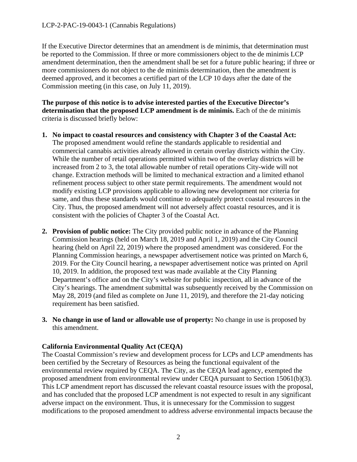If the Executive Director determines that an amendment is de minimis, that determination must be reported to the Commission. If three or more commissioners object to the de minimis LCP amendment determination, then the amendment shall be set for a future public hearing; if three or more commissioners do not object to the de minimis determination, then the amendment is deemed approved, and it becomes a certified part of the LCP 10 days after the date of the Commission meeting (in this case, on July 11, 2019).

**The purpose of this notice is to advise interested parties of the Executive Director's determination that the proposed LCP amendment is de minimis.** Each of the de minimis criteria is discussed briefly below:

- **1. No impact to coastal resources and consistency with Chapter 3 of the Coastal Act:**  The proposed amendment would refine the standards applicable to residential and commercial cannabis activities already allowed in certain overlay districts within the City. While the number of retail operations permitted within two of the overlay districts will be increased from 2 to 3, the total allowable number of retail operations City-wide will not change. Extraction methods will be limited to mechanical extraction and a limited ethanol refinement process subject to other state permit requirements. The amendment would not modify existing LCP provisions applicable to allowing new development nor criteria for same, and thus these standards would continue to adequately protect coastal resources in the City. Thus, the proposed amendment will not adversely affect coastal resources, and it is consistent with the policies of Chapter 3 of the Coastal Act.
- **2. Provision of public notice:** The City provided public notice in advance of the Planning Commission hearings (held on March 18, 2019 and April 1, 2019) and the City Council hearing (held on April 22, 2019) where the proposed amendment was considered. For the Planning Commission hearings, a newspaper advertisement notice was printed on March 6, 2019. For the City Council hearing, a newspaper advertisement notice was printed on April 10, 2019. In addition, the proposed text was made available at the City Planning Department's office and on the City's website for public inspection, all in advance of the City's hearings. The amendment submittal was subsequently received by the Commission on May 28, 2019 (and filed as complete on June 11, 2019), and therefore the 21-day noticing requirement has been satisfied.
- **3. No change in use of land or allowable use of property:** No change in use is proposed by this amendment.

## **California Environmental Quality Act (CEQA)**

The Coastal Commission's review and development process for LCPs and LCP amendments has been certified by the Secretary of Resources as being the functional equivalent of the environmental review required by CEQA. The City, as the CEQA lead agency, exempted the proposed amendment from environmental review under CEQA pursuant to Section 15061(b)(3). This LCP amendment report has discussed the relevant coastal resource issues with the proposal, and has concluded that the proposed LCP amendment is not expected to result in any significant adverse impact on the environment. Thus, it is unnecessary for the Commission to suggest modifications to the proposed amendment to address adverse environmental impacts because the